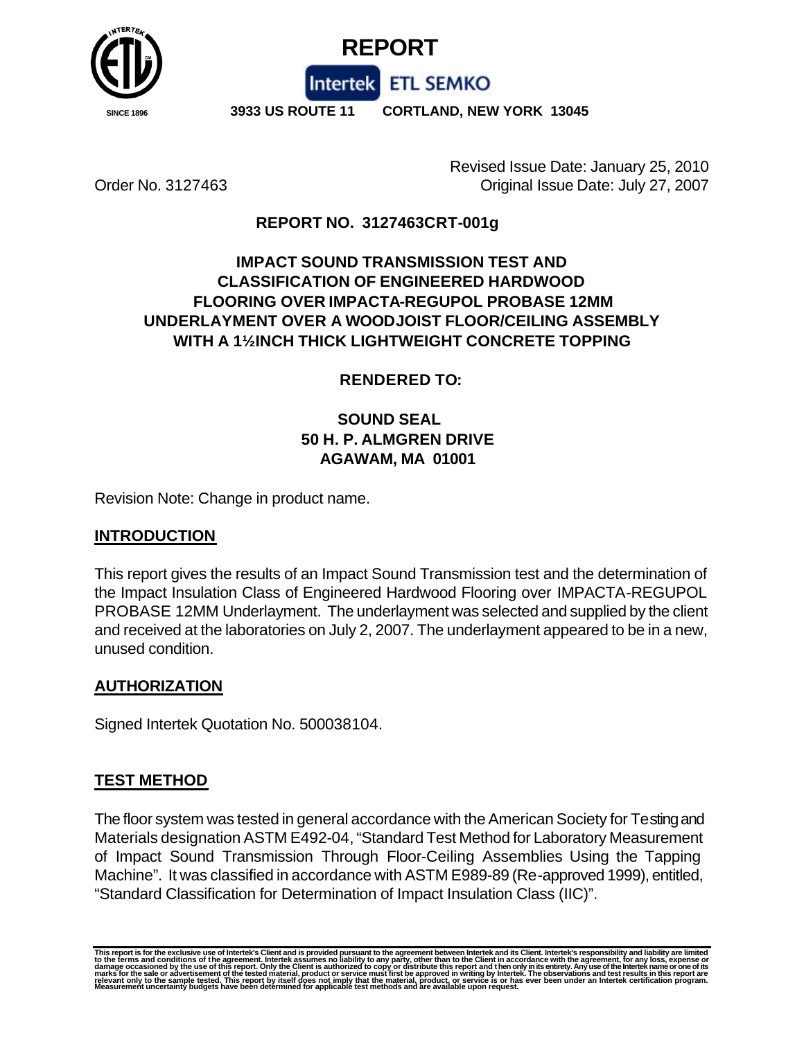

# **REPORT**

 **SINCE 1896 3933 US ROUTE 11 CORTLAND, NEW YORK 13045**

Intertek ETL SEMKO

Revised Issue Date: January 25, 2010 Order No. 3127463 Original Issue Date: July 27, 2007

## **REPORT NO. 3127463CRT-001g**

# **IMPACT SOUND TRANSMISSION TEST AND CLASSIFICATION OF ENGINEERED HARDWOOD FLOORING OVER IMPACTA-REGUPOL PROBASE 12MM UNDERLAYMENT OVER A WOODJOIST FLOOR/CEILING ASSEMBLY WITH A 1½INCH THICK LIGHTWEIGHT CONCRETE TOPPING**

## **RENDERED TO:**

# **SOUND SEAL 50 H. P. ALMGREN DRIVE AGAWAM, MA 01001**

Revision Note: Change in product name.

#### **INTRODUCTION**

This report gives the results of an Impact Sound Transmission test and the determination of the Impact Insulation Class of Engineered Hardwood Flooring over IMPACTA-REGUPOL PROBASE 12MM Underlayment. The underlayment was selected and supplied by the client and received at the laboratories on July 2, 2007. The underlayment appeared to be in a new, unused condition.

#### **AUTHORIZATION**

Signed Intertek Quotation No. 500038104.

#### **TEST METHOD**

The floor system was tested in general accordance with the American Society for Testing and Materials designation ASTM E492-04, "Standard Test Method for Laboratory Measurement of Impact Sound Transmission Through Floor-Ceiling Assemblies Using the Tapping Machine". It was classified in accordance with ASTM E989-89 (Re-approved 1999), entitled, "Standard Classification for Determination of Impact Insulation Class (IIC)".

This report is for the exclusive use of Intertek's Client and is provided pursuant to the agreement between Intertek and its Client. Intertek's responsibility and liability are limited<br>to the ferms and conditions of the ag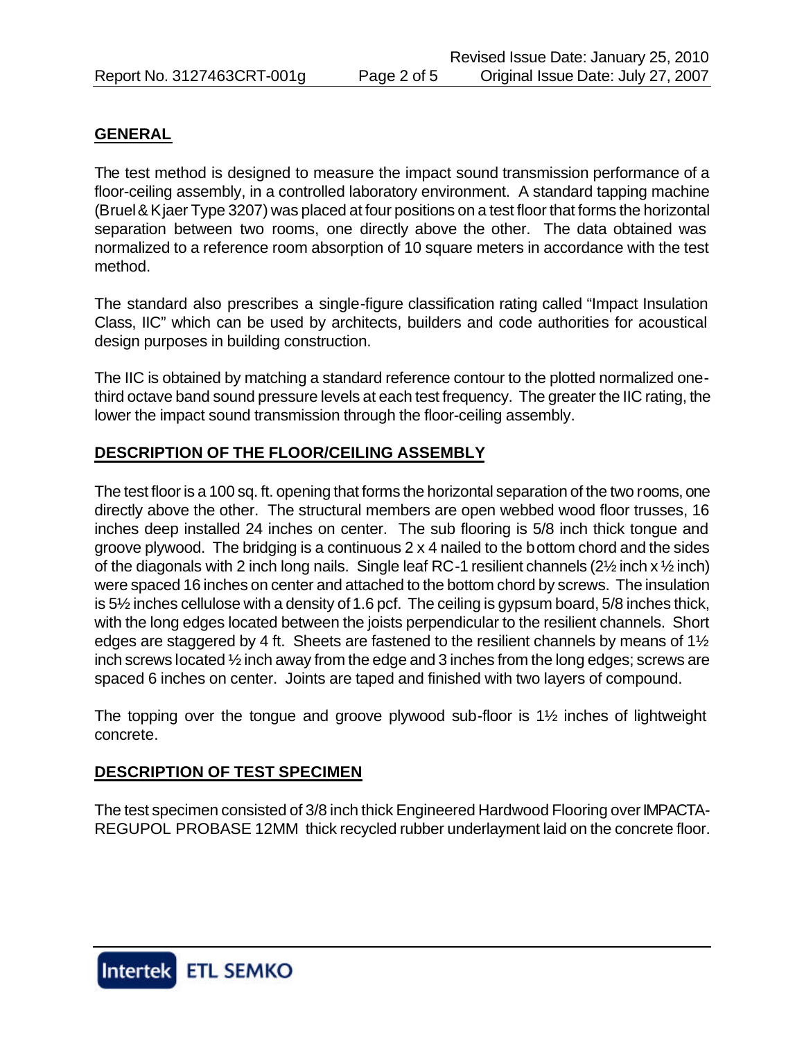## **GENERAL**

The test method is designed to measure the impact sound transmission performance of a floor-ceiling assembly, in a controlled laboratory environment. A standard tapping machine (Bruel & Kjaer Type 3207) was placed at four positions on a test floor that forms the horizontal separation between two rooms, one directly above the other. The data obtained was normalized to a reference room absorption of 10 square meters in accordance with the test method.

The standard also prescribes a single-figure classification rating called "Impact Insulation Class, IIC" which can be used by architects, builders and code authorities for acoustical design purposes in building construction.

The IIC is obtained by matching a standard reference contour to the plotted normalized onethird octave band sound pressure levels at each test frequency. The greater the IIC rating, the lower the impact sound transmission through the floor-ceiling assembly.

## **DESCRIPTION OF THE FLOOR/CEILING ASSEMBLY**

The test floor is a 100 sq. ft. opening that forms the horizontal separation of the two rooms, one directly above the other. The structural members are open webbed wood floor trusses, 16 inches deep installed 24 inches on center. The sub flooring is 5/8 inch thick tongue and groove plywood. The bridging is a continuous 2 x 4 nailed to the bottom chord and the sides of the diagonals with 2 inch long nails. Single leaf RC-1 resilient channels  $(2\frac{1}{2}$  inch  $x\frac{1}{2}$  inch) were spaced 16 inches on center and attached to the bottom chord by screws. The insulation is 5½ inches cellulose with a density of 1.6 pcf. The ceiling is gypsum board, 5/8 inches thick, with the long edges located between the joists perpendicular to the resilient channels. Short edges are staggered by 4 ft. Sheets are fastened to the resilient channels by means of 1½ inch screws located ½ inch away from the edge and 3 inches from the long edges; screws are spaced 6 inches on center. Joints are taped and finished with two layers of compound.

The topping over the tongue and groove plywood sub-floor is 1½ inches of lightweight concrete.

## **DESCRIPTION OF TEST SPECIMEN**

The test specimen consisted of 3/8 inch thick Engineered Hardwood Flooring over IMPACTA-REGUPOL PROBASE 12MM thick recycled rubber underlayment laid on the concrete floor.

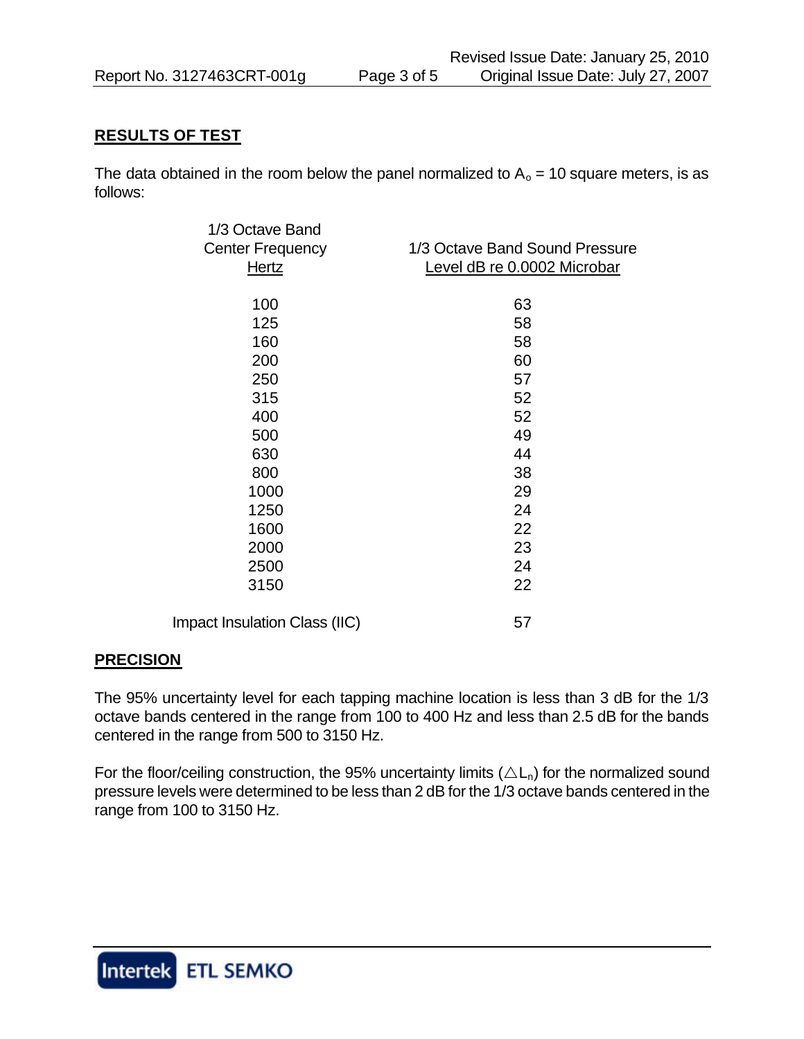## **RESULTS OF TEST**

The data obtained in the room below the panel normalized to  $A_0 = 10$  square meters, is as follows:

| 1/3 Octave Band               |                                |
|-------------------------------|--------------------------------|
| <b>Center Frequency</b>       | 1/3 Octave Band Sound Pressure |
| Hertz                         | Level dB re 0.0002 Microbar    |
|                               |                                |
| 100                           | 63                             |
| 125                           | 58                             |
| 160                           | 58                             |
| 200                           | 60                             |
| 250                           | 57                             |
| 315                           | 52                             |
| 400                           | 52                             |
| 500                           | 49                             |
| 630                           | 44                             |
| 800                           | 38                             |
| 1000                          | 29                             |
| 1250                          | 24                             |
| 1600                          | 22                             |
| 2000                          | 23                             |
| 2500                          | 24                             |
| 3150                          | 22                             |
|                               |                                |
| Impact Insulation Class (IIC) | 57                             |

## **PRECISION**

The 95% uncertainty level for each tapping machine location is less than 3 dB for the 1/3 octave bands centered in the range from 100 to 400 Hz and less than 2.5 dB for the bands centered in the range from 500 to 3150 Hz.

For the floor/ceiling construction, the 95% uncertainty limits ( $\triangle L_n$ ) for the normalized sound pressure levels were determined to be less than 2 dB for the 1/3 octave bands centered in the range from 100 to 3150 Hz.

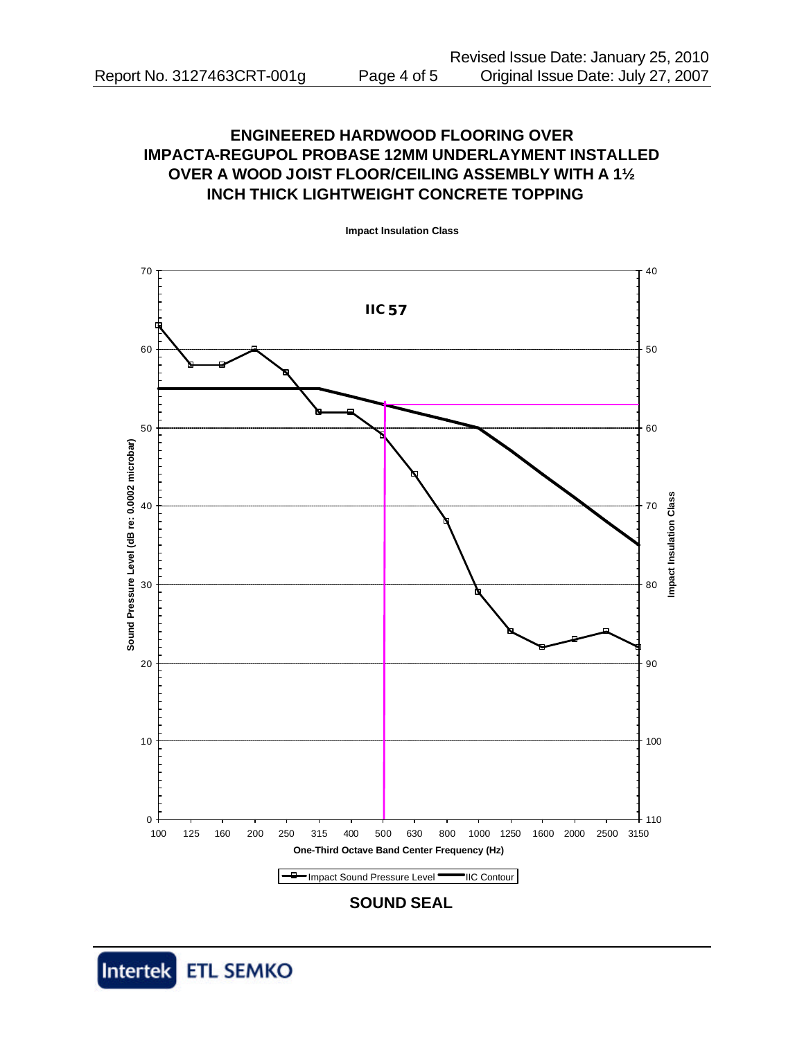# **ENGINEERED HARDWOOD FLOORING OVER IMPACTA-REGUPOL PROBASE 12MM UNDERLAYMENT INSTALLED OVER A WOOD JOIST FLOOR/CEILING ASSEMBLY WITH A 1½ INCH THICK LIGHTWEIGHT CONCRETE TOPPING**



**Impact Insulation Class**

**SOUND SEAL**